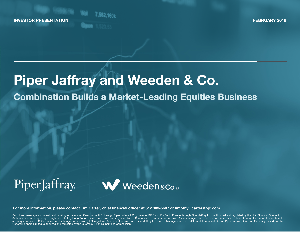INVESTOR PRESENTATION



FEBRUARY 2019

# Piper Jaffray and Weeden & Co.

# Combination Builds a Market-Leading Equities Business

# PiperJaffray



For more information, please contact Tim Carter, chief financial officer at 612 303-5607 or timothy.l.carter@pjc.com

Securities brokerage and investment banking services are offered in the U.S. through Piper Jaffray & Co., member SIPC and FINRA; in Europe through Piper Jaffray Ltd., authorized and regulated by the U.K. Financial Conduct Authority; and in Hong Kong through Piper Jaffray Hong Kong Limited, authorized and regulated by the Securities and Futures Commission. Asset management products and services are offered through five separate investment<br>ad General Partners Limited, authorized and regulated by the Guernsey Financial Services Commission.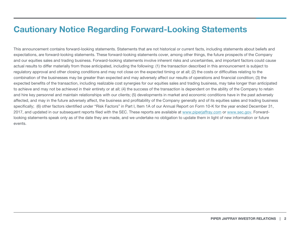#### Cautionary Notice Regarding Forward-Looking Statements

This announcement contains forward-looking statements. Statements that are not historical or current facts, including statements about beliefs and expectations, are forward-looking statements. These forward-looking statements cover, among other things, the future prospects of the Company and our equities sales and trading business. Forward-looking statements involve inherent risks and uncertainties, and important factors could cause actual results to differ materially from those anticipated, including the following: (1) the transaction described in this announcement is subject to regulatory approval and other closing conditions and may not close on the expected timing or at all; (2) the costs or difficulties relating to the combination of the businesses may be greater than expected and may adversely affect our results of operations and financial condition; (3) the expected benefits of the transaction, including realizable cost synergies for our equities sales and trading business, may take longer than anticipated to achieve and may not be achieved in their entirety or at all; (4) the success of the transaction is dependent on the ability of the Company to retain and hire key personnel and maintain relationships with our clients; (5) developments in market and economic conditions have in the past adversely affected, and may in the future adversely affect, the business and profitability of the Company generally and of its equities sales and trading business specifically; (6) other factors identified under "Risk Factors" in Part I, Item 1A of our Annual Report on Form 10-K for the year ended December 31, 2017, and updated in our subsequent reports filed with the SEC. These reports are available at www.piperjaffray.com or www.sec.gov. Forwardlooking statements speak only as of the date they are made, and we undertake no obligation to update them in light of new information or future events.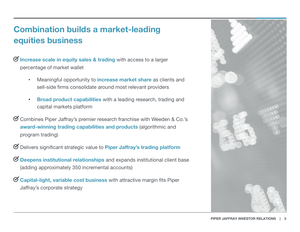# Combination builds a market-leading equities business

 $\Theta$  Increase scale in equity sales & trading with access to a larger percentage of market wallet

- •Meaningful opportunity to **increase market share** as clients and sell-side firms consolidate around most relevant providers
- • Broad product capabilities with a leading research, trading and capital markets platform
- Combines Piper Jaffray's premier research franchise with Weeden & Co.'s award-winning trading capabilities and products (algorithmic and program trading)
- Delivers significant strategic value to Piper Jaffray's trading platform
- $\Theta$  Deepens institutional relationships and expands institutional client base (adding approximately 350 incremental accounts)
- $\mathcal G$  Capital-light, variable cost business with attractive margin fits Piper Jaffray's corporate strategy

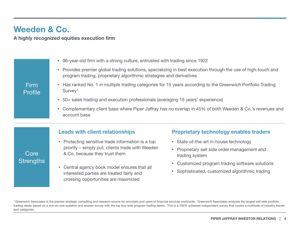#### Weeden & Co.

A highly recognized equities execution firm

|                        | 96-year-old firm with a strong culture, entrusted with trading since 1922                                                                                                                       |                                                                           |  |  |
|------------------------|-------------------------------------------------------------------------------------------------------------------------------------------------------------------------------------------------|---------------------------------------------------------------------------|--|--|
|                        | Provides premier global trading solutions, specializing in best execution through the use of high-touch and<br>$\bullet$<br>program trading, proprietary algorithmic strategies and derivatives |                                                                           |  |  |
| <b>Firm</b><br>Profile | Has ranked No. 1 in multiple trading categories for 15 years according to the Greenwich Portfolio Trading<br>Survey <sup>1</sup>                                                                |                                                                           |  |  |
|                        | 50+ sales trading and execution professionals (averaging 15 years' experience)<br>٠                                                                                                             |                                                                           |  |  |
|                        | Complementary client base where Piper Jaffray has no overlap in 45% of both Weeden & Co.'s revenues and<br>account base                                                                         |                                                                           |  |  |
|                        | <b>Leads with client relationships</b>                                                                                                                                                          | <b>Proprietary technology enables traders</b>                             |  |  |
| Core                   | • Protecting sensitive trade information is a top                                                                                                                                               |                                                                           |  |  |
|                        |                                                                                                                                                                                                 | • State-of-the-art in-house technology                                    |  |  |
|                        | priority – simply put, clients trade with Weeden<br>& Co. because they trust them                                                                                                               | Proprietary sell side order management and<br>$\bullet$<br>trading system |  |  |
| <b>Strengths</b>       | Central agency book model ensures that all                                                                                                                                                      | Customized program trading software solutions<br>$\bullet$                |  |  |

1 Greenwich Associates is the premier strategic consulting and research source for providers and users of financial services worldwide. Greenwich Associates analyzes the largest sell-side portfolio trading desks based on a one-on-one question and answer survey with the top buy-side program trading desks. This is a 100% unbiased independent survey that covers a multitude of industry trends and categories.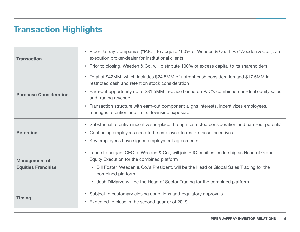## Transaction Highlights

| <b>Transaction</b>                                | • Piper Jaffray Companies ("PJC") to acquire 100% of Weeden & Co., L.P. ("Weeden & Co."), an<br>execution broker-dealer for institutional clients<br>• Prior to closing, Weeden & Co. will distribute 100% of excess capital to its shareholders                                                                                                                                                                                          |
|---------------------------------------------------|-------------------------------------------------------------------------------------------------------------------------------------------------------------------------------------------------------------------------------------------------------------------------------------------------------------------------------------------------------------------------------------------------------------------------------------------|
| <b>Purchase Consideration</b>                     | • Total of \$42MM, which includes \$24.5MM of upfront cash consideration and \$17.5MM in<br>restricted cash and retention stock consideration<br>Earn-out opportunity up to \$31.5MM in-place based on PJC's combined non-deal equity sales<br>$\bullet$<br>and trading revenue<br>Transaction structure with earn-out component aligns interests, incentivizes employees,<br>$\bullet$<br>manages retention and limits downside exposure |
| <b>Retention</b>                                  | • Substantial retentive incentives in-place through restricted consideration and earn-out potential<br>• Continuing employees need to be employed to realize these incentives<br>Key employees have signed employment agreements<br>$\bullet$                                                                                                                                                                                             |
| <b>Management of</b><br><b>Equities Franchise</b> | • Lance Lonergan, CEO of Weeden & Co., will join PJC equities leadership as Head of Global<br>Equity Execution for the combined platform<br>Bill Foster, Weeden & Co.'s President, will be the Head of Global Sales Trading for the<br>$\bullet$<br>combined platform<br>• Josh DiMarzo will be the Head of Sector Trading for the combined platform                                                                                      |
| <b>Timing</b>                                     | Subject to customary closing conditions and regulatory approvals<br>$\bullet$<br>Expected to close in the second quarter of 2019<br>$\bullet$                                                                                                                                                                                                                                                                                             |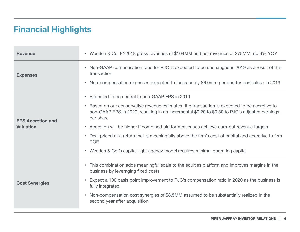## Financial Highlights

| <b>Revenue</b>                               | • Weeden & Co. FY2018 gross revenues of \$104MM and net revenues of \$75MM, up 6% YOY                                                                                                                                                                                                                                                                                                                                                                                                                                                                                                                             |  |  |
|----------------------------------------------|-------------------------------------------------------------------------------------------------------------------------------------------------------------------------------------------------------------------------------------------------------------------------------------------------------------------------------------------------------------------------------------------------------------------------------------------------------------------------------------------------------------------------------------------------------------------------------------------------------------------|--|--|
| <b>Expenses</b>                              | Non-GAAP compensation ratio for PJC is expected to be unchanged in 2019 as a result of this<br>$\bullet$<br>transaction<br>• Non-compensation expenses expected to increase by \$6.0mm per quarter post-close in 2019                                                                                                                                                                                                                                                                                                                                                                                             |  |  |
| <b>EPS Accretion and</b><br><b>Valuation</b> | Expected to be neutral to non-GAAP EPS in 2019<br>$\bullet$<br>Based on our conservative revenue estimates, the transaction is expected to be accretive to<br>$\bullet$<br>non-GAAP EPS in 2020, resulting in an incremental \$0.20 to \$0.30 to PJC's adjusted earnings<br>per share<br>• Accretion will be higher if combined platform revenues achieve earn-out revenue targets<br>Deal priced at a return that is meaningfully above the firm's cost of capital and accretive to firm<br>$\bullet$<br><b>ROE</b><br>Weeden & Co.'s capital-light agency model requires minimal operating capital<br>$\bullet$ |  |  |
| <b>Cost Synergies</b>                        | • This combination adds meaningful scale to the equities platform and improves margins in the<br>business by leveraging fixed costs<br>Expect a 100 basis point improvement to PJC's compensation ratio in 2020 as the business is<br>$\bullet$<br>fully integrated<br>Non-compensation cost synergies of \$8.5MM assumed to be substantially realized in the<br>$\bullet$<br>second year after acquisition                                                                                                                                                                                                       |  |  |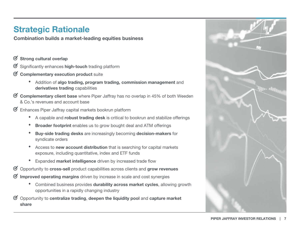### Strategic Rationale

Combination builds a market-leading equities business

- Strong cultural overlap  $\varnothing$
- $\otimes$ Significantly enhances high-touch trading platform
- $\otimes$ Complementary execution product suite
	- •Addition of algo trading, program trading, commission management and derivatives trading capabilities
- $\otimes$ Complementary client base where Piper Jaffray has no overlap in 45% of both Weeden & Co.'s revenues and account base
- Enhances Piper Jaffray capital markets bookrun platform
	- A capable and **robust trading desk** is critical to bookrun and stabilize offerings
	- •Broader footprint enables us to grow bought deal and ATM offerings
	- • Buy-side trading desks are increasingly becoming decision-makers for syndicate orders
	- •• Access to new account distribution that is searching for capital markets exposure, including quantitative, index and ETF funds
	- $\bullet$ Expanded market intelligence driven by increased trade flow
- Opportunity to cross-sell product capabilities across clients and grow revenues
- Improved operating margins driven by increase in scale and cost synergies
	- Combined business provides durability across market cycles, allowing growth opportunities in a rapidly changing industry
- $\otimes$ Opportunity to centralize trading, deepen the liquidity pool and capture market share

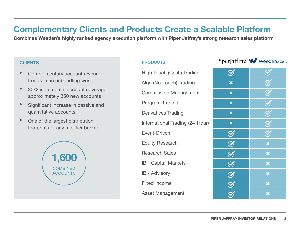#### Complementary Clients and Products Create a Scalable Platform

Combines Weeden's highly ranked agency execution platform with Piper Jaffray's strong research sales platform

#### **CLIENTS**

- • Complementary account revenue trends in an unbundling world
- • 30% incremental account coverage, approximately 350 new accounts
- • Significant increase in passive and quantitative accounts
- • One of the largest distribution footprints of any mid-tier broker



#### **PRODUCTS**

| <b>High Touch (Cash) Trading</b> | $\bm{C}$         | $\bf Q$                  |
|----------------------------------|------------------|--------------------------|
| Algo (No-Touch) Trading          | ×                | $\overline{\mathcal{C}}$ |
| <b>Commission Management</b>     | ×                | $\overline{\mathcal{C}}$ |
| <b>Program Trading</b>           | ×                | $\overline{\mathcal{C}}$ |
| <b>Derivatives Trading</b>       | ×                | $\bf{Q}$                 |
| International Trading (24-Hour)  | ×                | $\overline{\mathcal{C}}$ |
| <b>Event-Driven</b>              | $\bm{\Theta}$    | $\bf{Q}$                 |
| <b>Equity Research</b>           | $\overline{Q}$   | ×                        |
| <b>Research Sales</b>            | $\bm{\varTheta}$ | ×                        |
| <b>IB</b> - Capital Markets      | $\bm{\Theta}$    | ×                        |
| <b>IB</b> - Advisory             | $\bm{Q}$         | ×                        |
| <b>Fixed Income</b>              |                  | ×                        |
| Asset Management                 |                  | ₩                        |

#### PiperJaffray. W Weeden&co.

| <b>High Touch (Cash) Trading</b> |                    | $\overline{Q}$            |
|----------------------------------|--------------------|---------------------------|
| Algo (No-Touch) Trading          | ×                  | $\bm{\Theta}$             |
| <b>Commission Management</b>     | ×                  | $\bigodot$                |
| <b>Program Trading</b>           | ×                  | $\bigodot$                |
| <b>Derivatives Trading</b>       | ×                  | $\bigodot$                |
| International Trading (24-Hour)  | $\bm{x}$           | $\bigodot$                |
| <b>Event-Driven</b>              | $\bm{\varnothing}$ | $\bm{\varnothing}$        |
| <b>Equity Research</b>           | $\bigotimes$       | $\boldsymbol{\times}$     |
| <b>Research Sales</b>            | $\bigotimes$       | $\pmb{\times}$            |
| <b>IB</b> - Capital Markets      | $\bigotimes$       | $\boldsymbol{\times}$     |
| <b>IB</b> - Advisory             | $\bm{\varnothing}$ | $\boldsymbol{\mathsf{x}}$ |
| <b>Fixed Income</b>              | $\bm{\Theta}$      | $\boldsymbol{\times}$     |
| Asset Management                 |                    | ×                         |
|                                  |                    |                           |